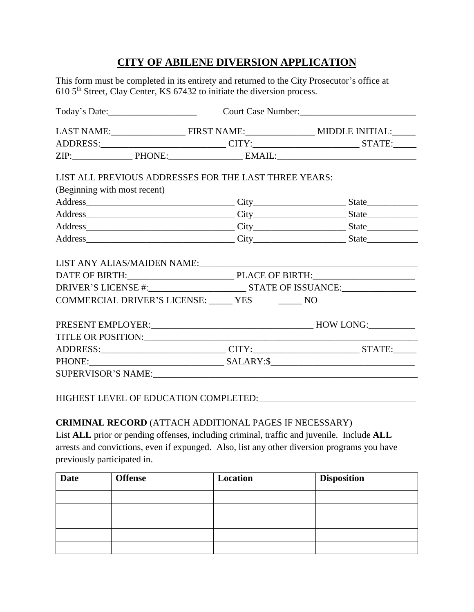# **CITY OF ABILENE DIVERSION APPLICATION**

This form must be completed in its entirety and returned to the City Prosecutor's office at 610 5<sup>th</sup> Street, Clay Center, KS 67432 to initiate the diversion process.

|                              |                                                                                                                                                                                                                                | Today's Date: Court Case Number: Court Case Number: |  |  |  |
|------------------------------|--------------------------------------------------------------------------------------------------------------------------------------------------------------------------------------------------------------------------------|-----------------------------------------------------|--|--|--|
|                              |                                                                                                                                                                                                                                |                                                     |  |  |  |
|                              | ADDRESS:______________________________CITY:___________________________STATE:_____                                                                                                                                              |                                                     |  |  |  |
|                              |                                                                                                                                                                                                                                |                                                     |  |  |  |
|                              | LIST ALL PREVIOUS ADDRESSES FOR THE LAST THREE YEARS:                                                                                                                                                                          |                                                     |  |  |  |
| (Beginning with most recent) |                                                                                                                                                                                                                                |                                                     |  |  |  |
|                              | Address State State State State State State State State State State State State State State State State State State State State State State State State State State State State State State State State State State State Stat |                                                     |  |  |  |
|                              |                                                                                                                                                                                                                                |                                                     |  |  |  |
|                              |                                                                                                                                                                                                                                |                                                     |  |  |  |
|                              |                                                                                                                                                                                                                                |                                                     |  |  |  |
|                              | Address State State State State State State State State State State State State State State State State State State State State State State State State State State State State State State State State State State State Stat |                                                     |  |  |  |
|                              | DATE OF BIRTH: PLACE OF BIRTH:                                                                                                                                                                                                 |                                                     |  |  |  |
|                              | COMMERCIAL DRIVER'S LICENSE: YES NO                                                                                                                                                                                            |                                                     |  |  |  |
|                              |                                                                                                                                                                                                                                |                                                     |  |  |  |
|                              |                                                                                                                                                                                                                                |                                                     |  |  |  |
|                              |                                                                                                                                                                                                                                |                                                     |  |  |  |
|                              | ADDRESS:_______________________________CITY:____________________________STATE:______                                                                                                                                           |                                                     |  |  |  |
|                              |                                                                                                                                                                                                                                |                                                     |  |  |  |

**CRIMINAL RECORD** (ATTACH ADDITIONAL PAGES IF NECESSARY) List **ALL** prior or pending offenses, including criminal, traffic and juvenile. Include **ALL** arrests and convictions, even if expunged. Also, list any other diversion programs you have previously participated in.

| <b>Date</b> | <b>Offense</b> | Location | <b>Disposition</b> |
|-------------|----------------|----------|--------------------|
|             |                |          |                    |
|             |                |          |                    |
|             |                |          |                    |
|             |                |          |                    |
|             |                |          |                    |